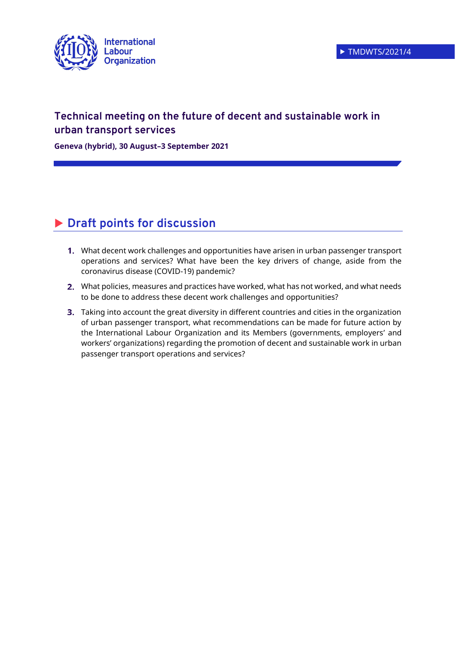

## **Technical meeting on the future of decent and sustainable work in urban transport services**

**Geneva (hybrid), 30 August–3 September 2021**

# **Draft points for discussion**

- What decent work challenges and opportunities have arisen in urban passenger transport operations and services? What have been the key drivers of change, aside from the coronavirus disease (COVID-19) pandemic?
- What policies, measures and practices have worked, what has not worked, and what needs to be done to address these decent work challenges and opportunities?
- **3.** Taking into account the great diversity in different countries and cities in the organization of urban passenger transport, what recommendations can be made for future action by the International Labour Organization and its Members (governments, employers' and workers' organizations) regarding the promotion of decent and sustainable work in urban passenger transport operations and services?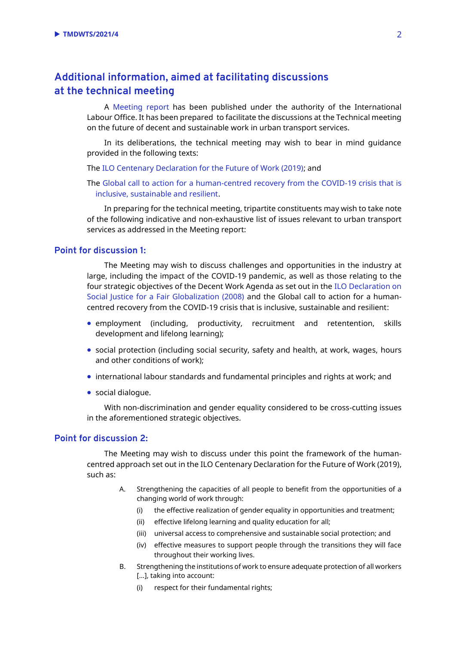### **Additional information, aimed at facilitating discussions at the technical meeting**

A [Meeting report](https://www.ilo.org/wcmsp5/groups/public/---ed_dialogue/---sector/documents/meetingdocument/wcms_795523.pdf) has been published under the authority of the International Labour Office. It has been prepared to facilitate the discussions at the Technical meeting on the future of decent and sustainable work in urban transport services.

In its deliberations, the technical meeting may wish to bear in mind guidance provided in the following texts:

The [ILO Centenary Declaration for the Future of Work \(2019\);](https://www.ilo.org/wcmsp5/groups/public/@ed_norm/@relconf/documents/meetingdocument/wcms_711674.pdf) and

The [Global call to action for a human-centred recovery from the COVID-19 crisis that is](https://www.ilo.org/wcmsp5/groups/public/---ed_norm/---relconf/documents/meetingdocument/wcms_806092.pdf)  [inclusive, sustainable and resilient.](https://www.ilo.org/wcmsp5/groups/public/---ed_norm/---relconf/documents/meetingdocument/wcms_806092.pdf)

In preparing for the technical meeting, tripartite constituents may wish to take note of the following indicative and non-exhaustive list of issues relevant to urban transport services as addressed in the Meeting report:

#### **Point for discussion 1:**

The Meeting may wish to discuss challenges and opportunities in the industry at large, including the impact of the COVID-19 pandemic, as well as those relating to the four strategic objectives of the Decent Work Agenda as set out in the [ILO Declaration on](https://www.ilo.org/wcmsp5/groups/public/---dgreports/---cabinet/documents/genericdocument/wcms_371208.pdf)  [Social Justice for a Fair Globalization \(2008\)](https://www.ilo.org/wcmsp5/groups/public/---dgreports/---cabinet/documents/genericdocument/wcms_371208.pdf) and the Global call to action for a humancentred recovery from the COVID-19 crisis that is inclusive, sustainable and resilient:

- employment (including, productivity, recruitment and retentention, skills development and lifelong learning);
- social protection (including social security, safety and health, at work, wages, hours and other conditions of work);
- international labour standards and fundamental principles and rights at work; and
- social dialogue.

With non-discrimination and gender equality considered to be cross-cutting issues in the aforementioned strategic objectives.

#### **Point for discussion 2:**

The Meeting may wish to discuss under this point the framework of the humancentred approach set out in the ILO Centenary Declaration for the Future of Work (2019), such as:

- A. Strengthening the capacities of all people to benefit from the opportunities of a changing world of work through:
	- (i) the effective realization of gender equality in opportunities and treatment;
	- (ii) effective lifelong learning and quality education for all;
	- (iii) universal access to comprehensive and sustainable social protection; and
	- (iv) effective measures to support people through the transitions they will face throughout their working lives.
- B. Strengthening the institutions of work to ensure adequate protection of all workers [...], taking into account:
	- (i) respect for their fundamental rights;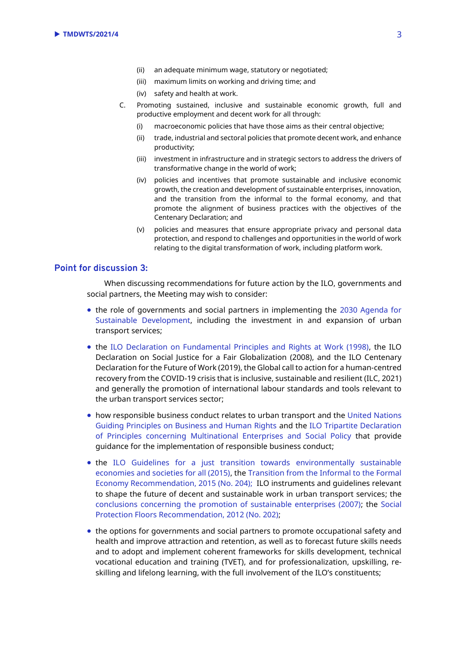- (ii) an adequate minimum wage, statutory or negotiated;
- (iii) maximum limits on working and driving time; and
- (iv) safety and health at work.
- C. Promoting sustained, inclusive and sustainable economic growth, full and productive employment and decent work for all through:
	- (i) macroeconomic policies that have those aims as their central objective;
	- (ii) trade, industrial and sectoral policies that promote decent work, and enhance productivity;
	- (iii) investment in infrastructure and in strategic sectors to address the drivers of transformative change in the world of work;
	- (iv) policies and incentives that promote sustainable and inclusive economic growth, the creation and development of sustainable enterprises, innovation, and the transition from the informal to the formal economy, and that promote the alignment of business practices with the objectives of the Centenary Declaration; and
	- (v) policies and measures that ensure appropriate privacy and personal data protection, and respond to challenges and opportunities in the world of work relating to the digital transformation of work, including platform work.

#### **Point for discussion 3:**

When discussing recommendations for future action by the ILO, governments and social partners, the Meeting may wish to consider:

- the role of governments and social partners in implementing the [2030 Agenda for](https://sdgs.un.org/2030agenda)  [Sustainable Development,](https://sdgs.un.org/2030agenda) including the investment in and expansion of urban transport services;
- the [ILO Declaration on Fundamental Principles and Rights at Work \(1998\),](https://www.ilo.org/declaration/thedeclaration/textdeclaration/lang--en/index.htm) the ILO Declaration on Social Justice for a Fair Globalization (2008), and the ILO Centenary Declaration for the Future of Work (2019), the Global call to action for a human-centred recovery from the COVID-19 crisis that is inclusive, sustainable and resilient (ILC, 2021) and generally the promotion of international labour standards and tools relevant to the urban transport services sector;
- how responsible business conduct relates to urban transport and the [United Nations](https://www.ohchr.org/documents/publications/guidingprinciplesbusinesshr_en.pdf)  [Guiding Principles on Business and Human Rights](https://www.ohchr.org/documents/publications/guidingprinciplesbusinesshr_en.pdf) and the [ILO Tripartite Declaration](https://www.ilo.org/wcmsp5/groups/public/---ed_emp/---emp_ent/---multi/documents/publication/wcms_094386.pdf)  [of Principles concerning Multinational Enterprises and Social Policy](https://www.ilo.org/wcmsp5/groups/public/---ed_emp/---emp_ent/---multi/documents/publication/wcms_094386.pdf) that provide guidance for the implementation of responsible business conduct;
- the [ILO Guidelines for a just transition towards environmentally sustainable](https://www.ilo.org/wcmsp5/groups/public/---ed_emp/---emp_ent/documents/publication/wcms_432859.pdf)  [economies and societies for all \(2015\),](https://www.ilo.org/wcmsp5/groups/public/---ed_emp/---emp_ent/documents/publication/wcms_432859.pdf) the [Transition from the Informal to the Formal](https://www.ilo.org/dyn/normlex/en/f?p=NORMLEXPUB:12100:0::NO::P12100_ILO_CODE:R204)  [Economy Recommendation, 2015 \(No. 204\);](https://www.ilo.org/dyn/normlex/en/f?p=NORMLEXPUB:12100:0::NO::P12100_ILO_CODE:R204) ILO instruments and guidelines relevant to shape the future of decent and sustainable work in urban transport services; the [conclusions concerning the promotion of sustainable enterprises \(2007\);](https://www.ilo.org/wcmsp5/groups/public/---ed_emp/---emp_ent/documents/publication/wcms_093970.pdf) the [Social](https://www.ilo.org/dyn/normlex/en/f?p=NORMLEXPUB:12100:0::NO::P12100_INSTRUMENT_ID:3065524)  [Protection Floors Recommendation, 2012 \(No. 202\);](https://www.ilo.org/dyn/normlex/en/f?p=NORMLEXPUB:12100:0::NO::P12100_INSTRUMENT_ID:3065524)
- the options for governments and social partners to promote occupational safety and health and improve attraction and retention, as well as to forecast future skills needs and to adopt and implement coherent frameworks for skills development, technical vocational education and training (TVET), and for professionalization, upskilling, reskilling and lifelong learning, with the full involvement of the ILO's constituents;